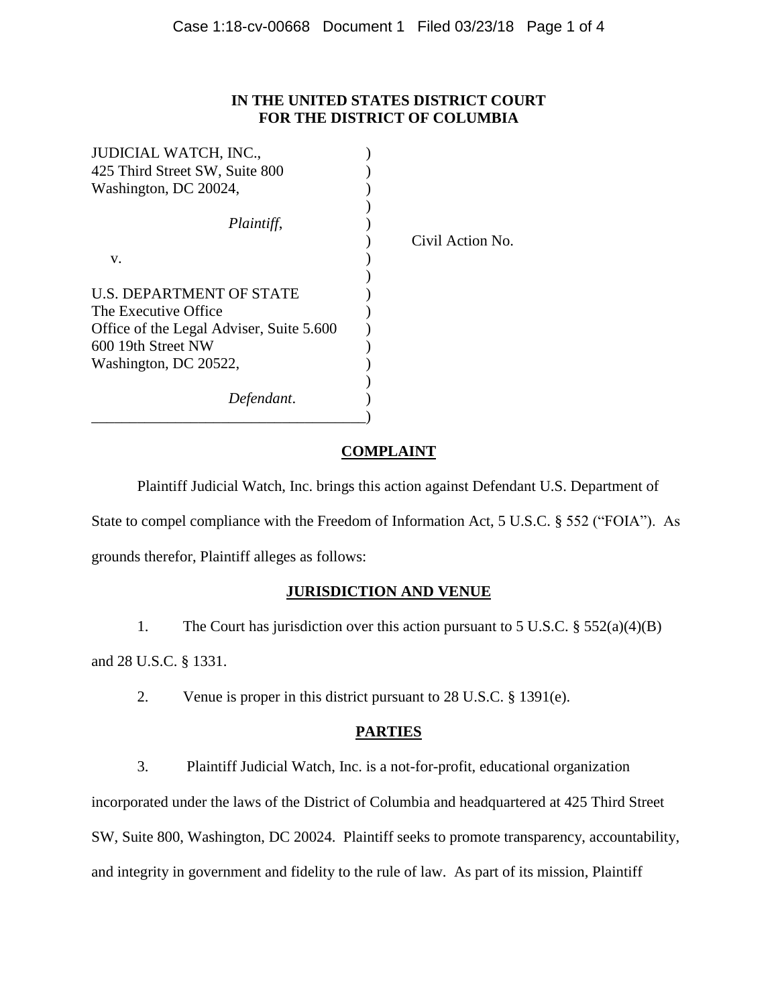## **IN THE UNITED STATES DISTRICT COURT FOR THE DISTRICT OF COLUMBIA**

| <b>JUDICIAL WATCH, INC.,</b>             |                  |
|------------------------------------------|------------------|
| 425 Third Street SW, Suite 800           |                  |
| Washington, DC 20024,                    |                  |
| Plaintiff,                               | Civil Action No. |
| V.                                       |                  |
|                                          |                  |
| U.S. DEPARTMENT OF STATE                 |                  |
| The Executive Office                     |                  |
| Office of the Legal Adviser, Suite 5.600 |                  |
| 600 19th Street NW                       |                  |
| Washington, DC 20522,                    |                  |
| Defendant.                               |                  |

# **COMPLAINT**

Plaintiff Judicial Watch, Inc. brings this action against Defendant U.S. Department of State to compel compliance with the Freedom of Information Act, 5 U.S.C. § 552 ("FOIA"). As grounds therefor, Plaintiff alleges as follows:

# **JURISDICTION AND VENUE**

1. The Court has jurisdiction over this action pursuant to 5 U.S.C. § 552(a)(4)(B)

and 28 U.S.C. § 1331.

2. Venue is proper in this district pursuant to 28 U.S.C. § 1391(e).

# **PARTIES**

3. Plaintiff Judicial Watch, Inc. is a not-for-profit, educational organization

incorporated under the laws of the District of Columbia and headquartered at 425 Third Street

SW, Suite 800, Washington, DC 20024. Plaintiff seeks to promote transparency, accountability,

and integrity in government and fidelity to the rule of law. As part of its mission, Plaintiff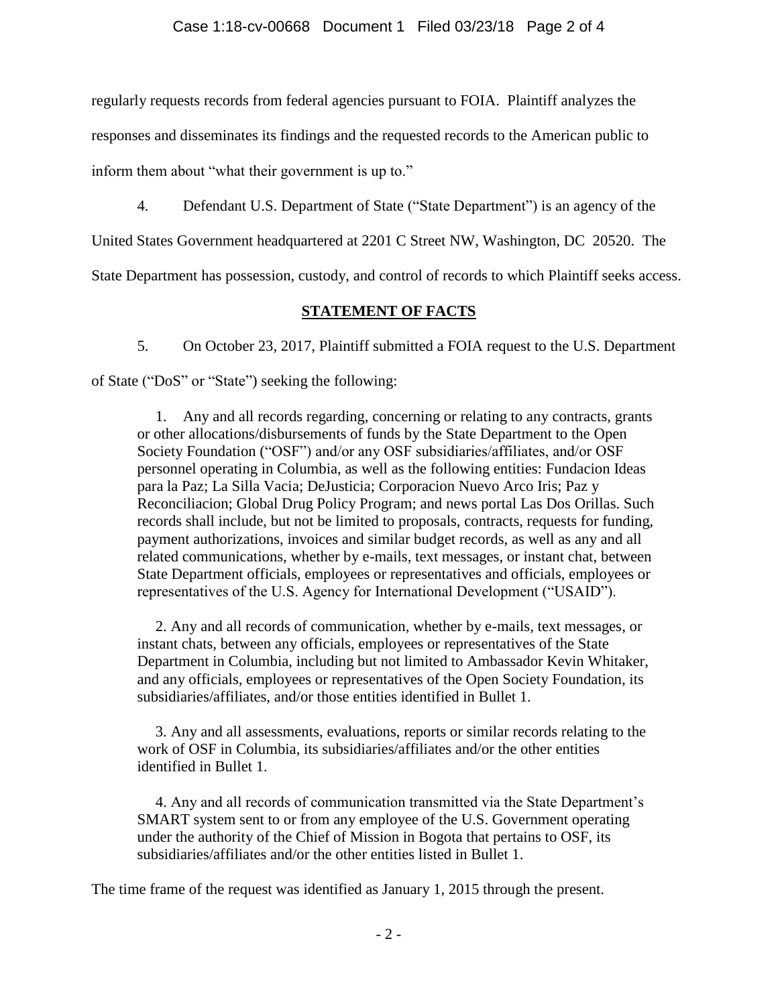regularly requests records from federal agencies pursuant to FOIA. Plaintiff analyzes the

responses and disseminates its findings and the requested records to the American public to

inform them about "what their government is up to."

4. Defendant U.S. Department of State ("State Department") is an agency of the

United States Government headquartered at 2201 C Street NW, Washington, DC 20520. The

State Department has possession, custody, and control of records to which Plaintiff seeks access.

## **STATEMENT OF FACTS**

5. On October 23, 2017, Plaintiff submitted a FOIA request to the U.S. Department of State ("DoS" or "State") seeking the following:

1. Any and all records regarding, concerning or relating to any contracts, grants or other allocations/disbursements of funds by the State Department to the Open Society Foundation ("OSF") and/or any OSF subsidiaries/affiliates, and/or OSF personnel operating in Columbia, as well as the following entities: Fundacion Ideas para la Paz; La Silla Vacia; DeJusticia; Corporacion Nuevo Arco Iris; Paz y Reconciliacion; Global Drug Policy Program; and news portal Las Dos Orillas. Such records shall include, but not be limited to proposals, contracts, requests for funding, payment authorizations, invoices and similar budget records, as well as any and all related communications, whether by e-mails, text messages, or instant chat, between State Department officials, employees or representatives and officials, employees or representatives of the U.S. Agency for International Development ("USAID").

2. Any and all records of communication, whether by e-mails, text messages, or instant chats, between any officials, employees or representatives of the State Department in Columbia, including but not limited to Ambassador Kevin Whitaker, and any officials, employees or representatives of the Open Society Foundation, its subsidiaries/affiliates, and/or those entities identified in Bullet 1.

3. Any and all assessments, evaluations, reports or similar records relating to the work of OSF in Columbia, its subsidiaries/affiliates and/or the other entities identified in Bullet 1.

4. Any and all records of communication transmitted via the State Department's SMART system sent to or from any employee of the U.S. Government operating under the authority of the Chief of Mission in Bogota that pertains to OSF, its subsidiaries/affiliates and/or the other entities listed in Bullet 1.

The time frame of the request was identified as January 1, 2015 through the present.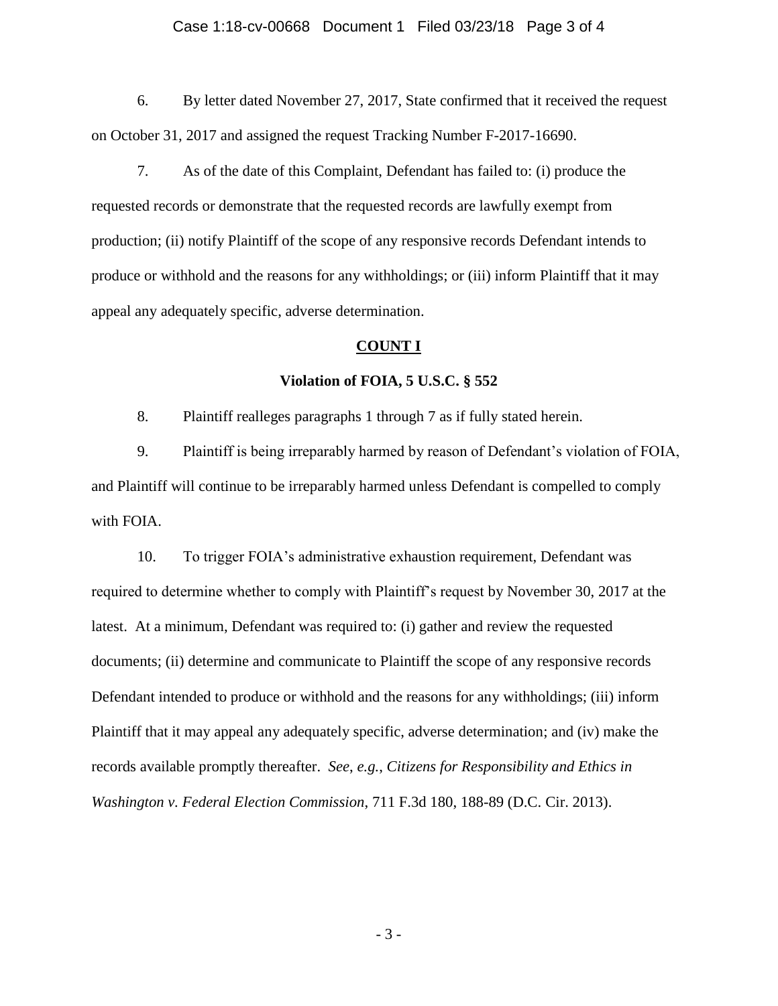### Case 1:18-cv-00668 Document 1 Filed 03/23/18 Page 3 of 4

6. By letter dated November 27, 2017, State confirmed that it received the request on October 31, 2017 and assigned the request Tracking Number F-2017-16690.

7. As of the date of this Complaint, Defendant has failed to: (i) produce the requested records or demonstrate that the requested records are lawfully exempt from production; (ii) notify Plaintiff of the scope of any responsive records Defendant intends to produce or withhold and the reasons for any withholdings; or (iii) inform Plaintiff that it may appeal any adequately specific, adverse determination.

#### **COUNT I**

### **Violation of FOIA, 5 U.S.C. § 552**

8. Plaintiff realleges paragraphs 1 through 7 as if fully stated herein.

9. Plaintiff is being irreparably harmed by reason of Defendant's violation of FOIA, and Plaintiff will continue to be irreparably harmed unless Defendant is compelled to comply with FOIA.

10. To trigger FOIA's administrative exhaustion requirement, Defendant was required to determine whether to comply with Plaintiff's request by November 30, 2017 at the latest. At a minimum, Defendant was required to: (i) gather and review the requested documents; (ii) determine and communicate to Plaintiff the scope of any responsive records Defendant intended to produce or withhold and the reasons for any withholdings; (iii) inform Plaintiff that it may appeal any adequately specific, adverse determination; and (iv) make the records available promptly thereafter. *See*, *e.g.*, *Citizens for Responsibility and Ethics in Washington v. Federal Election Commission*, 711 F.3d 180, 188-89 (D.C. Cir. 2013).